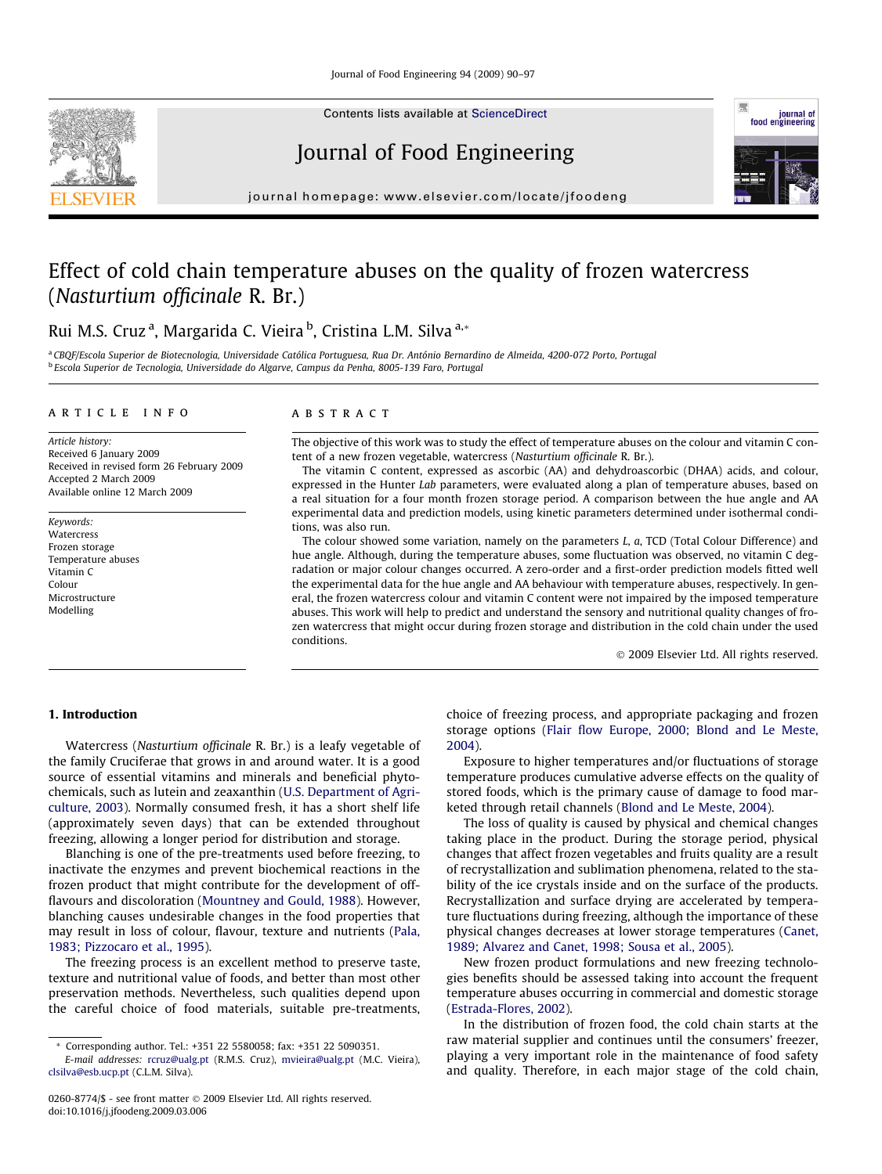Contents lists available at [ScienceDirect](http://www.sciencedirect.com/science/journal/02608774)

# Journal of Food Engineering

journal homepage: [www.elsevier.com/locate/jfoodeng](http://www.elsevier.com/locate/jfoodeng)

# Effect of cold chain temperature abuses on the quality of frozen watercress (Nasturtium officinale R. Br.)

Rui M.S. Cruz <sup>a</sup>, Margarida C. Vieira <sup>b</sup>, Cristina L.M. Silva <sup>a,</sup>\*

<sup>a</sup> CBQF/Escola Superior de Biotecnologia, Universidade Católica Portuguesa, Rua Dr. António Bernardino de Almeida, 4200-072 Porto, Portugal <sup>b</sup> Escola Superior de Tecnologia, Universidade do Algarve, Campus da Penha, 8005-139 Faro, Portugal

### article info

Article history: Received 6 January 2009 Received in revised form 26 February 2009 Accepted 2 March 2009 Available online 12 March 2009

Keywords: **Watercress** Frozen storage Temperature abuses Vitamin C Colour Microstructure Modelling

## **ABSTRACT**

The objective of this work was to study the effect of temperature abuses on the colour and vitamin C content of a new frozen vegetable, watercress (Nasturtium officinale R. Br.).

The vitamin C content, expressed as ascorbic (AA) and dehydroascorbic (DHAA) acids, and colour, expressed in the Hunter Lab parameters, were evaluated along a plan of temperature abuses, based on a real situation for a four month frozen storage period. A comparison between the hue angle and AA experimental data and prediction models, using kinetic parameters determined under isothermal conditions, was also run.

The colour showed some variation, namely on the parameters L, a, TCD (Total Colour Difference) and hue angle. Although, during the temperature abuses, some fluctuation was observed, no vitamin C degradation or major colour changes occurred. A zero-order and a first-order prediction models fitted well the experimental data for the hue angle and AA behaviour with temperature abuses, respectively. In general, the frozen watercress colour and vitamin C content were not impaired by the imposed temperature abuses. This work will help to predict and understand the sensory and nutritional quality changes of frozen watercress that might occur during frozen storage and distribution in the cold chain under the used conditions.

- 2009 Elsevier Ltd. All rights reserved.

# 1. Introduction

Watercress (Nasturtium officinale R. Br.) is a leafy vegetable of the family Cruciferae that grows in and around water. It is a good source of essential vitamins and minerals and beneficial phytochemicals, such as lutein and zeaxanthin ([U.S. Department of Agri](#page-7-0)[culture, 2003\)](#page-7-0). Normally consumed fresh, it has a short shelf life (approximately seven days) that can be extended throughout freezing, allowing a longer period for distribution and storage.

Blanching is one of the pre-treatments used before freezing, to inactivate the enzymes and prevent biochemical reactions in the frozen product that might contribute for the development of offflavours and discoloration ([Mountney and Gould, 1988\)](#page-7-0). However, blanching causes undesirable changes in the food properties that may result in loss of colour, flavour, texture and nutrients [\(Pala,](#page-7-0) [1983; Pizzocaro et al., 1995](#page-7-0)).

The freezing process is an excellent method to preserve taste, texture and nutritional value of foods, and better than most other preservation methods. Nevertheless, such qualities depend upon the careful choice of food materials, suitable pre-treatments, choice of freezing process, and appropriate packaging and frozen storage options [\(Flair flow Europe, 2000; Blond and Le Meste,](#page-7-0) [2004\)](#page-7-0).

Exposure to higher temperatures and/or fluctuations of storage temperature produces cumulative adverse effects on the quality of stored foods, which is the primary cause of damage to food marketed through retail channels ([Blond and Le Meste, 2004](#page-7-0)).

The loss of quality is caused by physical and chemical changes taking place in the product. During the storage period, physical changes that affect frozen vegetables and fruits quality are a result of recrystallization and sublimation phenomena, related to the stability of the ice crystals inside and on the surface of the products. Recrystallization and surface drying are accelerated by temperature fluctuations during freezing, although the importance of these physical changes decreases at lower storage temperatures [\(Canet,](#page-7-0) [1989; Alvarez and Canet, 1998; Sousa et al., 2005\)](#page-7-0).

New frozen product formulations and new freezing technologies benefits should be assessed taking into account the frequent temperature abuses occurring in commercial and domestic storage ([Estrada-Flores, 2002\)](#page-7-0).

In the distribution of frozen food, the cold chain starts at the raw material supplier and continues until the consumers' freezer, playing a very important role in the maintenance of food safety and quality. Therefore, in each major stage of the cold chain,





<sup>\*</sup> Corresponding author. Tel.: +351 22 5580058; fax: +351 22 5090351.

E-mail addresses: [rcruz@ualg.pt](mailto:rcruz@ualg.pt) (R.M.S. Cruz), [mvieira@ualg.pt](mailto:mvieira@ualg.pt) (M.C. Vieira), [clsilva@esb.ucp.pt](mailto:clsilva@esb.ucp.pt) (C.L.M. Silva).

<sup>0260-8774/\$ -</sup> see front matter © 2009 Elsevier Ltd. All rights reserved. doi:10.1016/j.jfoodeng.2009.03.006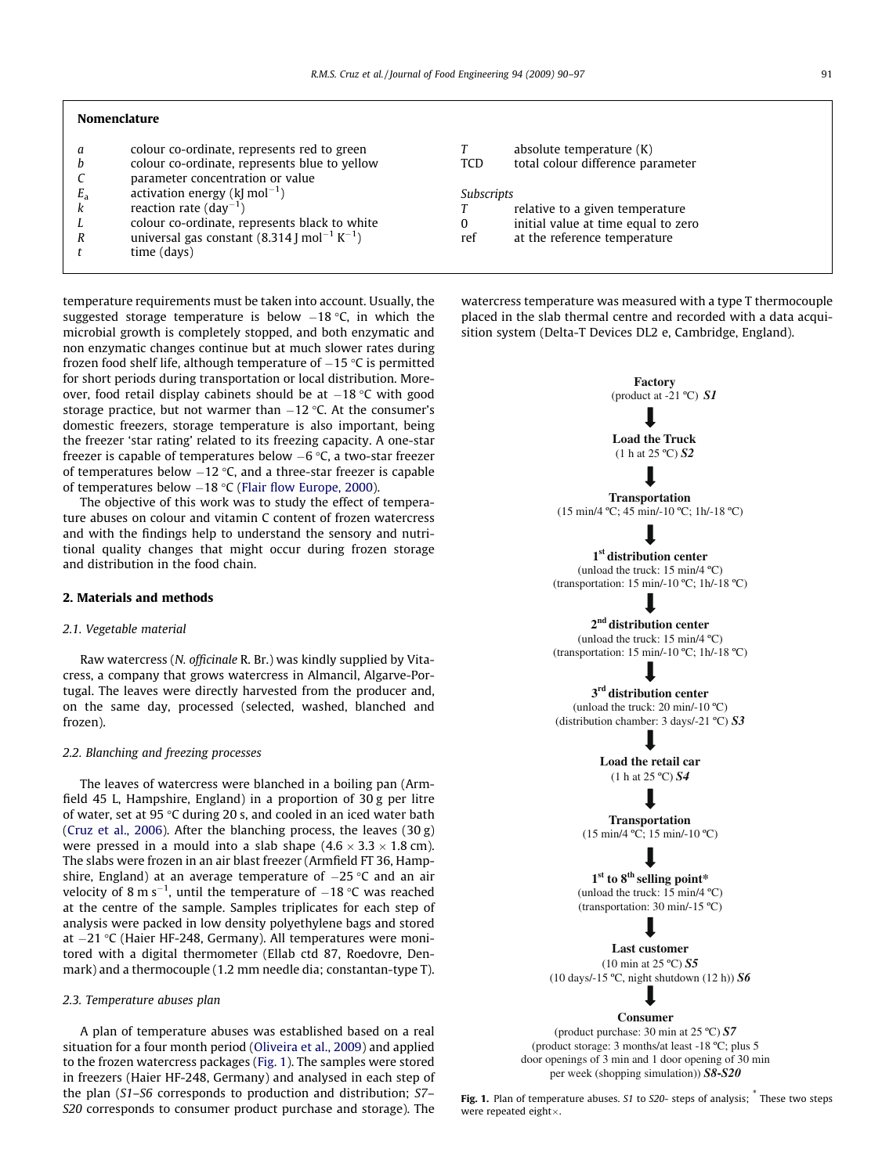| <b>Nomenclature</b> |                                                                                                                     |                 |                                                                     |  |  |  |
|---------------------|---------------------------------------------------------------------------------------------------------------------|-----------------|---------------------------------------------------------------------|--|--|--|
| a<br>h              | colour co-ordinate, represents red to green<br>colour co-ordinate, represents blue to yellow                        | TCD             | absolute temperature $(K)$<br>total colour difference parameter     |  |  |  |
| $E_{\rm a}$         | parameter concentration or value<br>activation energy ( $kj$ mol <sup>-1</sup> )                                    | Subscripts      |                                                                     |  |  |  |
| k                   | reaction rate $(\text{day}^{-1})$                                                                                   |                 | relative to a given temperature                                     |  |  |  |
| R                   | colour co-ordinate, represents black to white<br>universal gas constant (8.314 $\text{Imol}^{-1}$ K <sup>-1</sup> ) | $\bf{0}$<br>ref | initial value at time equal to zero<br>at the reference temperature |  |  |  |
|                     | time (days)                                                                                                         |                 |                                                                     |  |  |  |

temperature requirements must be taken into account. Usually, the suggested storage temperature is below  $-18$  °C, in which the microbial growth is completely stopped, and both enzymatic and non enzymatic changes continue but at much slower rates during frozen food shelf life, although temperature of  $-15$  °C is permitted for short periods during transportation or local distribution. Moreover, food retail display cabinets should be at  $-18\,^{\circ}\textrm{C}$  with good storage practice, but not warmer than –12 °C. At the consumer's domestic freezers, storage temperature is also important, being the freezer 'star rating' related to its freezing capacity. A one-star freezer is capable of temperatures below  $-6$  °C, a two-star freezer of temperatures below  $-12$  °C, and a three-star freezer is capable of temperatures below –18 °C [\(Flair flow Europe, 2000\)](#page-7-0).

The objective of this work was to study the effect of temperature abuses on colour and vitamin C content of frozen watercress and with the findings help to understand the sensory and nutritional quality changes that might occur during frozen storage and distribution in the food chain.

# 2. Materials and methods

## 2.1. Vegetable material

Raw watercress (N. officinale R. Br.) was kindly supplied by Vitacress, a company that grows watercress in Almancil, Algarve-Portugal. The leaves were directly harvested from the producer and, on the same day, processed (selected, washed, blanched and frozen).

## 2.2. Blanching and freezing processes

The leaves of watercress were blanched in a boiling pan (Armfield 45 L, Hampshire, England) in a proportion of 30 g per litre of water, set at 95  $\degree$ C during 20 s, and cooled in an iced water bath ([Cruz et al., 2006\)](#page-7-0). After the blanching process, the leaves (30 g) were pressed in a mould into a slab shape  $(4.6 \times 3.3 \times 1.8 \text{ cm})$ . The slabs were frozen in an air blast freezer (Armfield FT 36, Hampshire, England) at an average temperature of  $-25\,^{\circ}\textrm{C}$  and an air velocity of 8 m s $^{-1}$ , until the temperature of  $-18\,^{\circ}\textrm{C}$  was reached at the centre of the sample. Samples triplicates for each step of analysis were packed in low density polyethylene bags and stored at –21 °C (Haier HF-248, Germany). All temperatures were monitored with a digital thermometer (Ellab ctd 87, Roedovre, Denmark) and a thermocouple (1.2 mm needle dia; constantan-type T).

# 2.3. Temperature abuses plan

A plan of temperature abuses was established based on a real situation for a four month period ([Oliveira et al., 2009](#page-7-0)) and applied to the frozen watercress packages (Fig. 1). The samples were stored in freezers (Haier HF-248, Germany) and analysed in each step of the plan (S1–S6 corresponds to production and distribution; S7– S20 corresponds to consumer product purchase and storage). The

watercress temperature was measured with a type T thermocouple placed in the slab thermal centre and recorded with a data acquisition system (Delta-T Devices DL2 e, Cambridge, England).



door openings of 3 min and 1 door opening of 30 min per week (shopping simulation)) *S8***-***S20*

Fig. 1. Plan of temperature abuses.  $S1$  to  $S20$ - steps of analysis; These two steps were repeated eight $\times$ .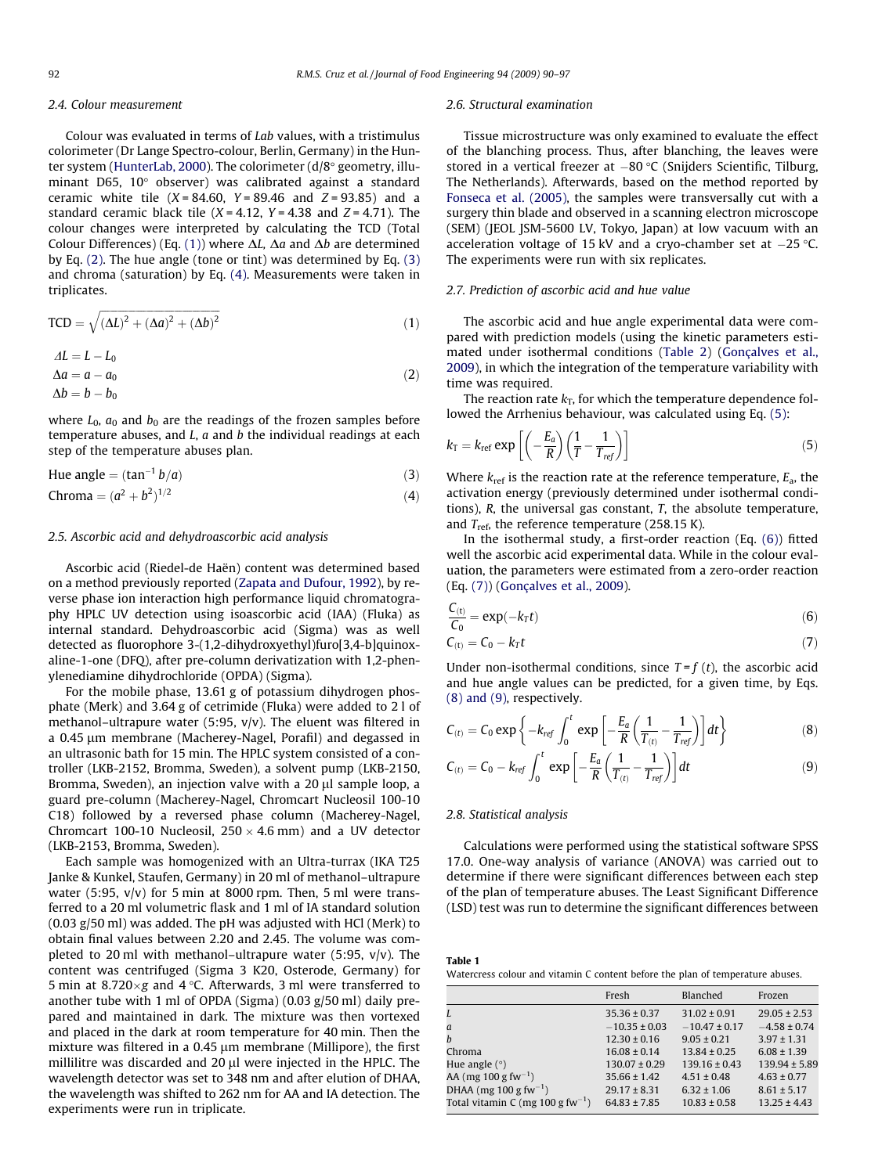#### <span id="page-2-0"></span>2.4. Colour measurement

Colour was evaluated in terms of Lab values, with a tristimulus colorimeter (Dr Lange Spectro-colour, Berlin, Germany) in the Hun-ter system ([HunterLab, 2000](#page-7-0)). The colorimeter (d/8° geometry, illuminant D65, 10° observer) was calibrated against a standard ceramic white tile  $(X = 84.60, Y = 89.46$  and  $Z = 93.85)$  and a standard ceramic black tile  $(X = 4.12, Y = 4.38$  and  $Z = 4.71$ ). The colour changes were interpreted by calculating the TCD (Total Colour Differences) (Eq. (1)) where  $\Delta L$ ,  $\Delta a$  and  $\Delta b$  are determined by Eq. (2). The hue angle (tone or tint) was determined by Eq. (3) and chroma (saturation) by Eq. (4). Measurements were taken in triplicates.

$$
\text{TCD} = \sqrt{(\Delta L)^2 + (\Delta a)^2 + (\Delta b)^2}
$$
 (1)

$$
\Delta L = L - L_0
$$
  
\n
$$
\Delta a = a - a_0
$$
\n(2)

$$
\Delta b = b - b_0
$$

where  $L_0$ ,  $a_0$  and  $b_0$  are the readings of the frozen samples before temperature abuses, and  $L$ ,  $a$  and  $b$  the individual readings at each step of the temperature abuses plan.

Hue angle =  $(\tan^{-1} b/a)$  (3)

$$
Chroma = (a^2 + b^2)^{1/2}
$$
 (4)

# 2.5. Ascorbic acid and dehydroascorbic acid analysis

Ascorbic acid (Riedel-de Haën) content was determined based on a method previously reported [\(Zapata and Dufour, 1992](#page-7-0)), by reverse phase ion interaction high performance liquid chromatography HPLC UV detection using isoascorbic acid (IAA) (Fluka) as internal standard. Dehydroascorbic acid (Sigma) was as well detected as fluorophore 3-(1,2-dihydroxyethyl)furo[3,4-b]quinoxaline-1-one (DFQ), after pre-column derivatization with 1,2-phenylenediamine dihydrochloride (OPDA) (Sigma).

For the mobile phase, 13.61 g of potassium dihydrogen phosphate (Merk) and 3.64 g of cetrimide (Fluka) were added to 2 l of methanol–ultrapure water (5:95,  $v/v$ ). The eluent was filtered in a 0.45 µm membrane (Macherey-Nagel, Porafil) and degassed in an ultrasonic bath for 15 min. The HPLC system consisted of a controller (LKB-2152, Bromma, Sweden), a solvent pump (LKB-2150, Bromma, Sweden), an injection valve with a  $20 \mu l$  sample loop, a guard pre-column (Macherey-Nagel, Chromcart Nucleosil 100-10 C18) followed by a reversed phase column (Macherey-Nagel, Chromcart 100-10 Nucleosil,  $250 \times 4.6$  mm) and a UV detector (LKB-2153, Bromma, Sweden).

Each sample was homogenized with an Ultra-turrax (IKA T25 Janke & Kunkel, Staufen, Germany) in 20 ml of methanol–ultrapure water (5:95,  $v/v$ ) for 5 min at 8000 rpm. Then, 5 ml were transferred to a 20 ml volumetric flask and 1 ml of IA standard solution (0.03 g/50 ml) was added. The pH was adjusted with HCl (Merk) to obtain final values between 2.20 and 2.45. The volume was completed to 20 ml with methanol–ultrapure water (5:95, v/v). The content was centrifuged (Sigma 3 K20, Osterode, Germany) for 5 min at 8.720 $\times$ g and 4 °C. Afterwards, 3 ml were transferred to another tube with 1 ml of OPDA (Sigma) (0.03 g/50 ml) daily prepared and maintained in dark. The mixture was then vortexed and placed in the dark at room temperature for 40 min. Then the mixture was filtered in a 0.45  $\mu$ m membrane (Millipore), the first millilitre was discarded and 20  $\mu$ l were injected in the HPLC. The wavelength detector was set to 348 nm and after elution of DHAA, the wavelength was shifted to 262 nm for AA and IA detection. The experiments were run in triplicate.

#### 2.6. Structural examination

Tissue microstructure was only examined to evaluate the effect of the blanching process. Thus, after blanching, the leaves were stored in a vertical freezer at  $-80$  °C (Snijders Scientific, Tilburg, The Netherlands). Afterwards, based on the method reported by [Fonseca et al. \(2005\),](#page-7-0) the samples were transversally cut with a surgery thin blade and observed in a scanning electron microscope (SEM) (JEOL JSM-5600 LV, Tokyo, Japan) at low vacuum with an acceleration voltage of 15 kV and a cryo-chamber set at  $-25$  °C. The experiments were run with six replicates.

# 2.7. Prediction of ascorbic acid and hue value

The ascorbic acid and hue angle experimental data were compared with prediction models (using the kinetic parameters estimated under isothermal conditions [\(Table 2\)](#page-3-0) [\(Gonçalves et al.,](#page-7-0) [2009\)](#page-7-0), in which the integration of the temperature variability with time was required.

The reaction rate  $k_T$ , for which the temperature dependence followed the Arrhenius behaviour, was calculated using Eq. (5):

$$
k_{\rm T} = k_{\rm ref} \exp\left[\left(-\frac{E_a}{R}\right)\left(\frac{1}{T} - \frac{1}{T_{\rm ref}}\right)\right]
$$
(5)

Where  $k_{\text{ref}}$  is the reaction rate at the reference temperature,  $E_{\text{a}}$ , the activation energy (previously determined under isothermal conditions), R, the universal gas constant, T, the absolute temperature, and  $T_{\text{ref}}$ , the reference temperature (258.15 K).

In the isothermal study, a first-order reaction (Eq. (6)) fitted well the ascorbic acid experimental data. While in the colour evaluation, the parameters were estimated from a zero-order reaction (Eq. (7)) [\(Gonçalves et al., 2009](#page-7-0)).

$$
\frac{C_{(t)}}{C_0} = \exp(-k_T t) \tag{6}
$$

$$
C_{(t)} = C_0 - k_T t \tag{7}
$$

Under non-isothermal conditions, since  $T = f(t)$ , the ascorbic acid and hue angle values can be predicted, for a given time, by Eqs. (8) and (9), respectively.

$$
C_{(t)} = C_0 \exp\left\{-k_{ref} \int_0^t \exp\left[-\frac{E_a}{R}\left(\frac{1}{T_{(t)}} - \frac{1}{T_{ref}}\right)\right]dt\right\}
$$
(8)

$$
C_{(t)} = C_0 - k_{ref} \int_0^t \exp \left[ -\frac{E_a}{R} \left( \frac{1}{T_{(t)}} - \frac{1}{T_{ref}} \right) \right] dt
$$
 (9)

## 2.8. Statistical analysis

Calculations were performed using the statistical software SPSS 17.0. One-way analysis of variance (ANOVA) was carried out to determine if there were significant differences between each step of the plan of temperature abuses. The Least Significant Difference (LSD) test was run to determine the significant differences between

Table 1

Watercress colour and vitamin C content before the plan of temperature abuses.

|                                              | Fresh             | Blanched          | Frozen            |
|----------------------------------------------|-------------------|-------------------|-------------------|
| L                                            | $35.36 \pm 0.37$  | $31.02 \pm 0.91$  | $29.05 \pm 2.53$  |
| $\overline{a}$                               | $-10.35 \pm 0.03$ | $-10.47 \pm 0.17$ | $-4.58 \pm 0.74$  |
| $\mathbf b$                                  | $12.30 \pm 0.16$  | $9.05 \pm 0.21$   | $3.97 \pm 1.31$   |
| Chroma                                       | $16.08 \pm 0.14$  | $13.84 \pm 0.25$  | $6.08 \pm 1.39$   |
| Hue angle $(°)$                              | $130.07 \pm 0.29$ | $139.16 \pm 0.43$ | $139.94 \pm 5.89$ |
| AA (mg 100 g fw <sup>-1</sup> )              | $35.66 \pm 1.42$  | $4.51 \pm 0.48$   | $4.63 \pm 0.77$   |
| DHAA (mg 100 g fw <sup>-1</sup> )            | $29.17 \pm 8.31$  | $6.32 \pm 1.06$   | $8.61 \pm 5.17$   |
| Total vitamin C (mg 100 g fw <sup>-1</sup> ) | $64.83 \pm 7.85$  | $10.83 \pm 0.58$  | $13.25 \pm 4.43$  |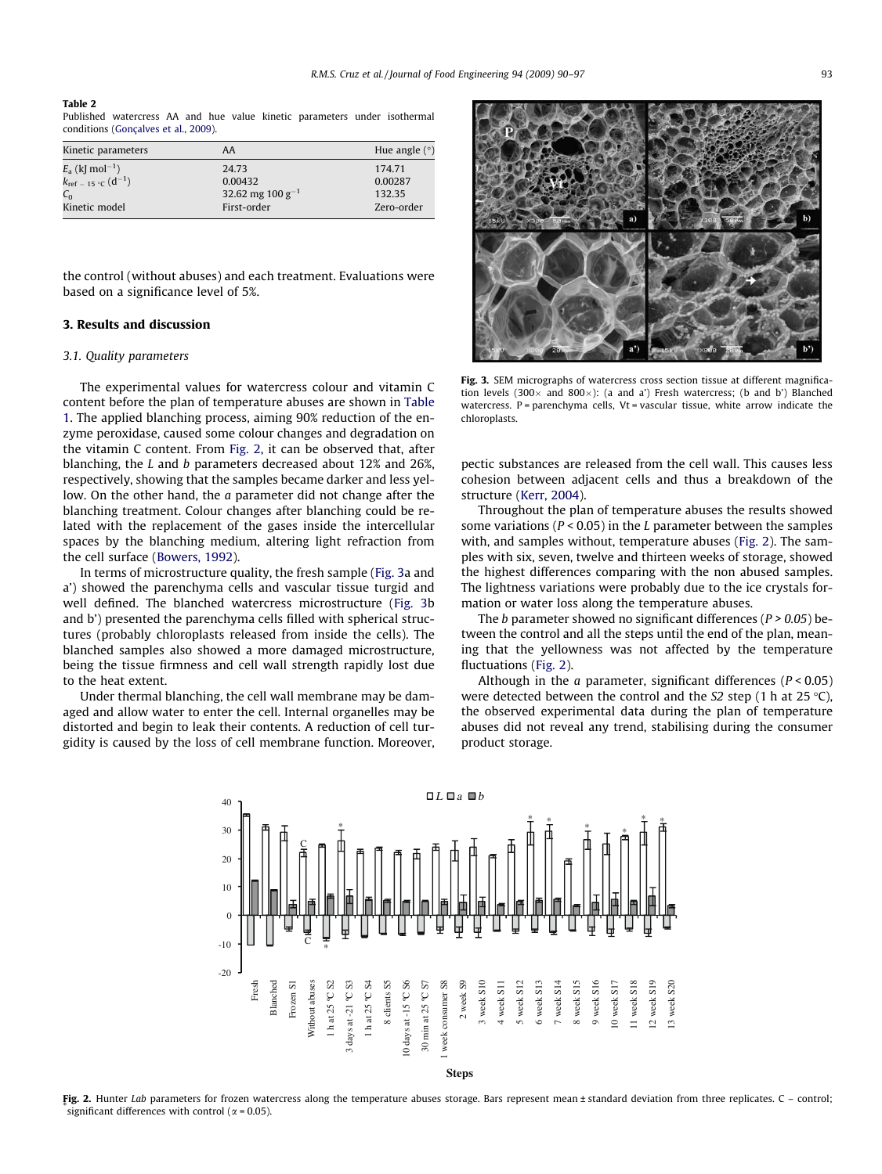#### <span id="page-3-0"></span>Table 2

Published watercress AA and hue value kinetic parameters under isothermal conditions ([Gonçalves et al., 2009\)](#page-7-0).

| Kinetic parameters                  | AA                           | Hue angle $(°)$ |
|-------------------------------------|------------------------------|-----------------|
| $E_a$ (kJ mol <sup>-1</sup> )       | 24.73                        | 174.71          |
| $k_{\text{ref}}$ – 15 °C $(d^{-1})$ | 0.00432                      | 0.00287         |
| C <sub>0</sub>                      | 32.62 mg 100 g <sup>-1</sup> | 132.35          |
| Kinetic model                       | First-order                  | Zero-order      |
|                                     |                              |                 |

the control (without abuses) and each treatment. Evaluations were based on a significance level of 5%.

# 3. Results and discussion

# 3.1. Quality parameters

The experimental values for watercress colour and vitamin C content before the plan of temperature abuses are shown in [Table](#page-2-0) [1](#page-2-0). The applied blanching process, aiming 90% reduction of the enzyme peroxidase, caused some colour changes and degradation on the vitamin C content. From Fig. 2, it can be observed that, after blanching, the L and b parameters decreased about 12% and 26%, respectively, showing that the samples became darker and less yellow. On the other hand, the a parameter did not change after the blanching treatment. Colour changes after blanching could be related with the replacement of the gases inside the intercellular spaces by the blanching medium, altering light refraction from the cell surface ([Bowers, 1992](#page-7-0)).

In terms of microstructure quality, the fresh sample (Fig. 3a and a') showed the parenchyma cells and vascular tissue turgid and well defined. The blanched watercress microstructure (Fig. 3b and b') presented the parenchyma cells filled with spherical structures (probably chloroplasts released from inside the cells). The blanched samples also showed a more damaged microstructure, being the tissue firmness and cell wall strength rapidly lost due to the heat extent.

Under thermal blanching, the cell wall membrane may be damaged and allow water to enter the cell. Internal organelles may be distorted and begin to leak their contents. A reduction of cell turgidity is caused by the loss of cell membrane function. Moreover,



Fig. 3. SEM micrographs of watercress cross section tissue at different magnification levels (300 $\times$  and 800 $\times$ ): (a and a') Fresh watercress; (b and b') Blanched watercress.  $P =$  parenchyma cells,  $Vt =$  vascular tissue, white arrow indicate the chloroplasts.

pectic substances are released from the cell wall. This causes less cohesion between adjacent cells and thus a breakdown of the structure ([Kerr, 2004](#page-7-0)).

Throughout the plan of temperature abuses the results showed some variations ( $P < 0.05$ ) in the *L* parameter between the samples with, and samples without, temperature abuses (Fig. 2). The samples with six, seven, twelve and thirteen weeks of storage, showed the highest differences comparing with the non abused samples. The lightness variations were probably due to the ice crystals formation or water loss along the temperature abuses.

The *b* parameter showed no significant differences ( $P > 0.05$ ) between the control and all the steps until the end of the plan, meaning that the yellowness was not affected by the temperature fluctuations (Fig. 2).

Although in the  $a$  parameter, significant differences ( $P < 0.05$ ) were detected between the control and the S2 step (1 h at 25  $\degree$ C), the observed experimental data during the plan of temperature abuses did not reveal any trend, stabilising during the consumer product storage.



Fig. 2. Hunter Lab parameters for frozen watercress along the temperature abuses storage. Bars represent mean ± standard deviation from three replicates. C - control; significant differences with control ( $\alpha$  = 0.05).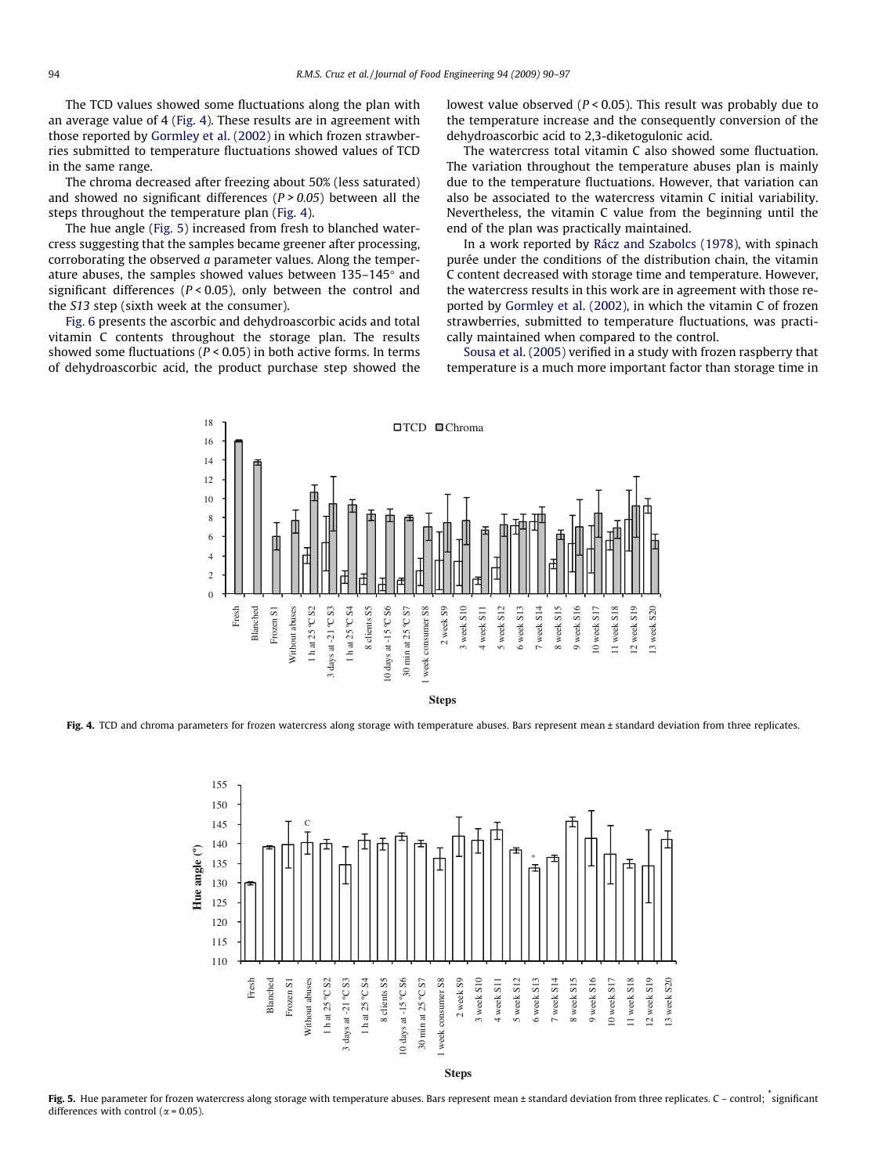The TCD values showed some fluctuations along the plan with an average value of 4 (Fig. 4). These results are in agreement with those reported by [Gormley et al. \(2002\)](#page-7-0) in which frozen strawberries submitted to temperature fluctuations showed values of TCD in the same range.

The chroma decreased after freezing about 50% (less saturated) and showed no significant differences ( $P > 0.05$ ) between all the steps throughout the temperature plan (Fig. 4).

The hue angle (Fig. 5) increased from fresh to blanched watercress suggesting that the samples became greener after processing, corroborating the observed a parameter values. Along the temperature abuses, the samples showed values between  $135-145^\circ$  and significant differences ( $P < 0.05$ ), only between the control and the S13 step (sixth week at the consumer).

[Fig. 6](#page-5-0) presents the ascorbic and dehydroascorbic acids and total vitamin C contents throughout the storage plan. The results showed some fluctuations ( $P < 0.05$ ) in both active forms. In terms of dehydroascorbic acid, the product purchase step showed the

lowest value observed ( $P < 0.05$ ). This result was probably due to the temperature increase and the consequently conversion of the dehydroascorbic acid to 2,3-diketogulonic acid.

The watercress total vitamin C also showed some fluctuation. The variation throughout the temperature abuses plan is mainly due to the temperature fluctuations. However, that variation can also be associated to the watercress vitamin C initial variability. Nevertheless, the vitamin C value from the beginning until the end of the plan was practically maintained.

In a work reported by [Rácz and Szabolcs \(1978\)](#page-7-0), with spinach purée under the conditions of the distribution chain, the vitamin C content decreased with storage time and temperature. However, the watercress results in this work are in agreement with those reported by [Gormley et al. \(2002\)](#page-7-0), in which the vitamin C of frozen strawberries, submitted to temperature fluctuations, was practically maintained when compared to the control.

[Sousa et al. \(2005\)](#page-7-0) verified in a study with frozen raspberry that temperature is a much more important factor than storage time in



**Steps**

Fig. 4. TCD and chroma parameters for frozen watercress along storage with temperature abuses. Bars represent mean ± standard deviation from three replicates.



Fig. 5. Hue parameter for frozen watercress along storage with temperature abuses. Bars represent mean ± standard deviation from three replicates. C – control; \* significant differences with control ( $\alpha$  = 0.05).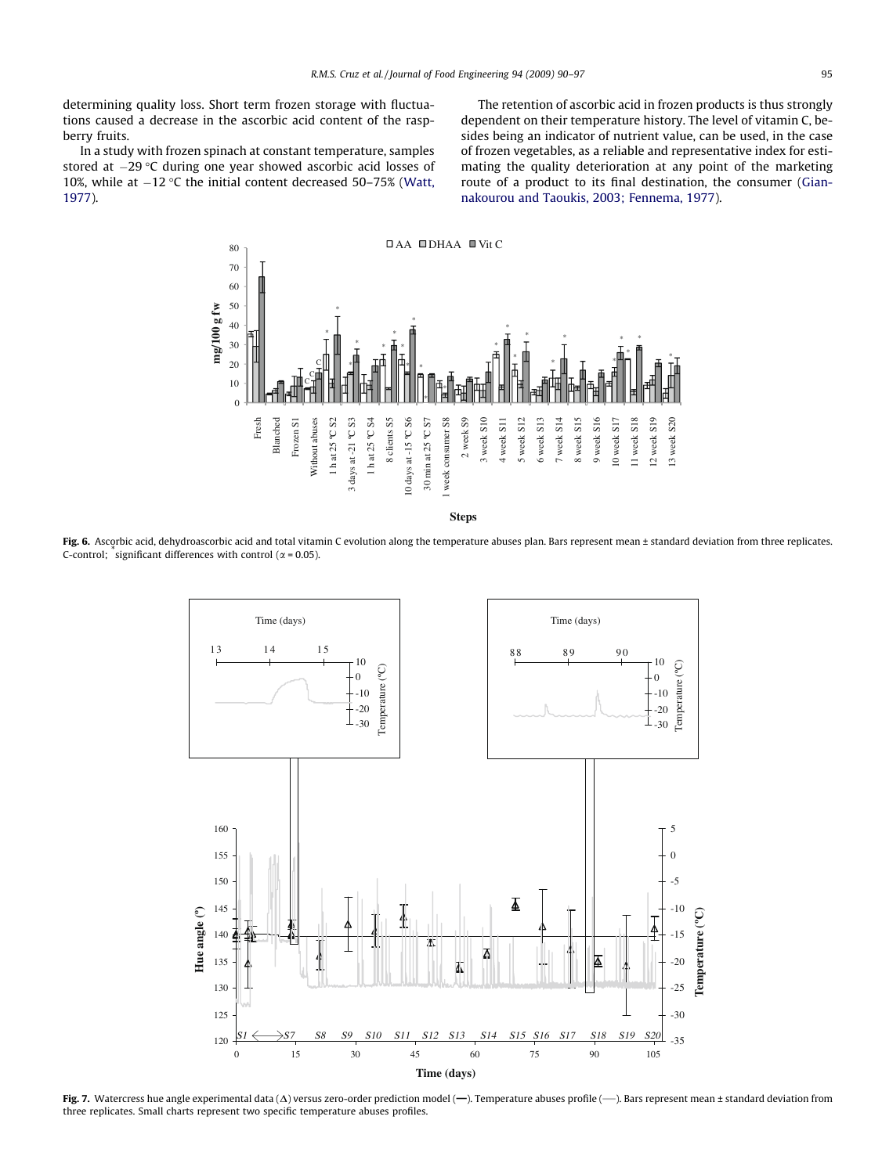<span id="page-5-0"></span>determining quality loss. Short term frozen storage with fluctuations caused a decrease in the ascorbic acid content of the raspberry fruits.

In a study with frozen spinach at constant temperature, samples stored at –29 °C during one year showed ascorbic acid losses of 10%, while at  $-12$  °C the initial content decreased 50–75% ([Watt,](#page-7-0) [1977\)](#page-7-0).

The retention of ascorbic acid in frozen products is thus strongly dependent on their temperature history. The level of vitamin C, besides being an indicator of nutrient value, can be used, in the case of frozen vegetables, as a reliable and representative index for estimating the quality deterioration at any point of the marketing route of a product to its final destination, the consumer ([Gian](#page-7-0)[nakourou and Taoukis, 2003; Fennema, 1977\)](#page-7-0).



**Steps**

Fig. 6. Ascorbic acid, dehydroascorbic acid and total vitamin C evolution along the temperature abuses plan. Bars represent mean ± standard deviation from three replicates. C-control; significant differences with control ( $\alpha$  = 0.05).



Fig. 7. Watercress hue angle experimental data ( $\Delta$ ) versus zero-order prediction model (—). Temperature abuses profile (—). Bars represent mean ± standard deviation from three replicates. Small charts represent two specific temperature abuses profiles.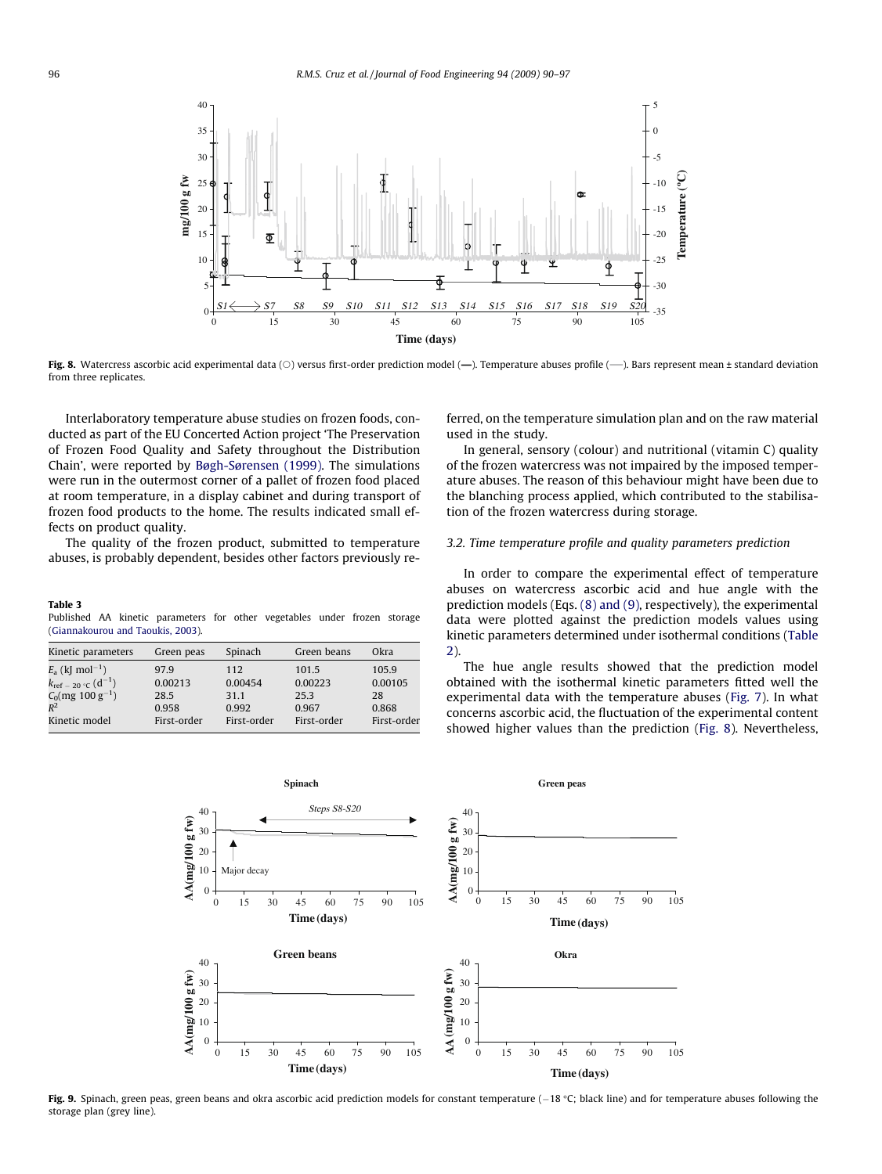<span id="page-6-0"></span>

Fig. 8. Watercress ascorbic acid experimental data (O) versus first-order prediction model (—). Temperature abuses profile (—). Bars represent mean ± standard deviation from three replicates.

Interlaboratory temperature abuse studies on frozen foods, conducted as part of the EU Concerted Action project 'The Preservation of Frozen Food Quality and Safety throughout the Distribution Chain', were reported by [B](#page-7-0)ø[gh-Sørensen \(1999\)](#page-7-0). The simulations were run in the outermost corner of a pallet of frozen food placed at room temperature, in a display cabinet and during transport of frozen food products to the home. The results indicated small effects on product quality.

The quality of the frozen product, submitted to temperature abuses, is probably dependent, besides other factors previously re-

#### Table 3

Published AA kinetic parameters for other vegetables under frozen storage [\(Giannakourou and Taoukis, 2003](#page-7-0)).

| Kinetic parameters                                                    | Green peas                   | Spinach                      | Green beans                  | Okra                       |
|-----------------------------------------------------------------------|------------------------------|------------------------------|------------------------------|----------------------------|
| $E_a$ (kJ mol <sup>-1</sup> )<br>$k_{\rm ref}$ – 20 °C $(\rm d^{-1})$ | 97.9<br>0.00213              | 112<br>0.00454               | 101.5<br>0.00223             | 105.9<br>0.00105           |
| $C_0$ (mg 100 g <sup>-1</sup> )<br>R <sup>2</sup><br>Kinetic model    | 28.5<br>0.958<br>First-order | 31.1<br>0.992<br>First-order | 25.3<br>0.967<br>First-order | 28<br>0.868<br>First-order |

ferred, on the temperature simulation plan and on the raw material used in the study.

In general, sensory (colour) and nutritional (vitamin C) quality of the frozen watercress was not impaired by the imposed temperature abuses. The reason of this behaviour might have been due to the blanching process applied, which contributed to the stabilisation of the frozen watercress during storage.

## 3.2. Time temperature profile and quality parameters prediction

In order to compare the experimental effect of temperature abuses on watercress ascorbic acid and hue angle with the prediction models (Eqs. [\(8\) and \(9\),](#page-2-0) respectively), the experimental data were plotted against the prediction models values using kinetic parameters determined under isothermal conditions [\(Table](#page-3-0) [2](#page-3-0)).

The hue angle results showed that the prediction model obtained with the isothermal kinetic parameters fitted well the experimental data with the temperature abuses [\(Fig. 7\)](#page-5-0). In what concerns ascorbic acid, the fluctuation of the experimental content showed higher values than the prediction (Fig. 8). Nevertheless,



Fig. 9. Spinach, green peas, green beans and okra ascorbic acid prediction models for constant temperature ( $-18$  °C; black line) and for temperature abuses following the storage plan (grey line).